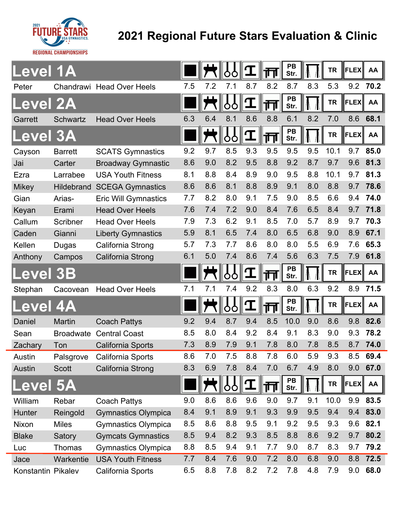

## **2021 Regional Future Stars Evaluation & Clinic**

| evel 1A       |                   |                             |     |     |         |     |     | PB<br>Str.        |     | <b>TR</b> | <b>FLEX</b> | AA   |
|---------------|-------------------|-----------------------------|-----|-----|---------|-----|-----|-------------------|-----|-----------|-------------|------|
| Peter         |                   | Chandrawi Head Over Heels   | 7.5 | 7.2 | 7.1     | 8.7 | 8.2 | 8.7               | 8.3 | 5.3       | 9.2         | 70.2 |
| evel 2A       |                   |                             |     |     | O       |     | गा  | PB<br>Str.        |     | <b>TR</b> | <b>FLEX</b> | AA   |
| Garrett       | <b>Schwartz</b>   | <b>Head Over Heels</b>      | 6.3 | 6.4 | 8.1     | 8.6 | 8.8 | 6.1               | 8.2 | 7.0       | 8.6         | 68.1 |
| evel 3A       |                   |                             |     |     | Ò       |     |     | PB<br>Str.        |     | <b>TR</b> | <b>FLEX</b> | AA   |
| Cayson        | <b>Barrett</b>    | <b>SCATS Gymnastics</b>     | 9.2 | 9.7 | 8.5     | 9.3 | 9.5 | 9.5               | 9.5 | 10.1      | 9.7         | 85.0 |
| Jai           | Carter            | <b>Broadway Gymnastic</b>   | 8.6 | 9.0 | 8.2     | 9.5 | 8.8 | 9.2               | 8.7 | 9.7       | 9.6         | 81.3 |
| Ezra          | Larrabee          | <b>USA Youth Fitness</b>    | 8.1 | 8.8 | 8.4     | 8.9 | 9.0 | 9.5               | 8.8 | 10.1      | 9.7         | 81.3 |
| <b>Mikey</b>  | <b>Hildebrand</b> | <b>SCEGA Gymnastics</b>     | 8.6 | 8.6 | 8.1     | 8.8 | 8.9 | 9.1               | 8.0 | 8.8       | 9.7         | 78.6 |
| Gian          | Arias-            | <b>Eric Will Gymnastics</b> | 7.7 | 8.2 | 8.0     | 9.1 | 7.5 | 9.0               | 8.5 | 6.6       | 9.4         | 74.0 |
| Keyan         | Erami             | <b>Head Over Heels</b>      | 7.6 | 7.4 | 7.2     | 9.0 | 8.4 | 7.6               | 6.5 | 8.4       | 9.7         | 71.8 |
| Callum        | Scribner          | <b>Head Over Heels</b>      | 7.9 | 7.3 | 6.2     | 9.1 | 8.5 | 7.0               | 5.7 | 8.9       | 9.7         | 70.3 |
| Caden         | Gianni            | <b>Liberty Gymnastics</b>   | 5.9 | 8.1 | 6.5     | 7.4 | 8.0 | 6.5               | 6.8 | 9.0       | 8.9         | 67.1 |
| Kellen        | Dugas             | California Strong           | 5.7 | 7.3 | 7.7     | 8.6 | 8.0 | 8.0               | 5.5 | 6.9       | 7.6         | 65.3 |
| Anthony       | Campos            | California Strong           | 6.1 | 5.0 | 7.4     | 8.6 | 7.4 | 5.6               | 6.3 | 7.5       | 7.9         | 61.8 |
| evel 3B       |                   |                             |     |     | O<br>O  |     | ╥   | <b>PB</b><br>Str. |     | <b>TR</b> | <b>FLEX</b> | AA   |
| Stephan       | Cacovean          | <b>Head Over Heels</b>      | 7.1 | 7.1 | 7.4     | 9.2 | 8.3 | 8.0               | 6.3 | 9.2       | 8.9         | 71.5 |
| evel 4A       |                   |                             |     |     | 10<br>O |     | 画   | PB<br>Str.        |     | <b>TR</b> | <b>FLEX</b> | AA   |
| Daniel        | Martin            | <b>Coach Pattys</b>         | 9.2 | 9.4 | 8.7     | 9.4 | 8.5 | 10.0              | 9.0 | 8.6       | 9.8         | 82.6 |
| Sean          | <b>Broadwate</b>  | <b>Central Coast</b>        | 8.5 | 8.0 | 8.4     | 9.2 | 8.4 | 9.1               | 8.3 | 9.0       | 9.3         | 78.2 |
| Zachary       | Ton               | California Sports           | 7.3 | 8.9 | 7.9     | 9.1 | 7.8 | 8.0               | 7.8 | 8.5       | 8.7         | 74.0 |
| Austin        | Palsgrove         | California Sports           | 8.6 | 7.0 | 7.5     | 8.8 | 7.8 | 6.0               | 5.9 | 9.3       | 8.5         | 69.4 |
| <b>Austin</b> | <b>Scott</b>      | California Strong           | 8.3 | 6.9 | 7.8     | 8.4 | 7.0 | 6.7               | 4.9 | 8.0       | 9.0         | 67.0 |
|               |                   |                             |     |     |         |     |     |                   |     |           |             |      |
| evel 5A       |                   |                             |     |     | Ô<br>O  | I   | 帀   | PB<br>Str.        |     | <b>TR</b> | <b>FLEX</b> | AA   |
| William       | Rebar             | <b>Coach Pattys</b>         | 9.0 | 8.6 | 8.6     | 9.6 | 9.0 | 9.7               | 9.1 | 10.0      | 9.9         | 83.5 |
| Hunter        | Reingold          | <b>Gymnastics Olympica</b>  | 8.4 | 9.1 | 8.9     | 9.1 | 9.3 | 9.9               | 9.5 | 9.4       | 9.4         | 83.0 |
| Nixon         | <b>Miles</b>      | <b>Gymnastics Olympica</b>  | 8.5 | 8.6 | 8.8     | 9.5 | 9.1 | 9.2               | 9.5 | 9.3       | 9.6         | 82.1 |
| <b>Blake</b>  | Satory            | <b>Gymcats Gymnastics</b>   | 8.5 | 9.4 | 8.2     | 9.3 | 8.5 | 8.8               | 8.6 | 9.2       | 9.7         | 80.2 |
| Luc           | Thomas            | <b>Gymnastics Olympica</b>  | 8.8 | 8.5 | 9.4     | 9.1 | 7.7 | 9.0               | 8.7 | 8.3       | 9.7         | 79.2 |
| Jace          | Warkentie         | <b>USA Youth Fitness</b>    | 7.7 | 8.4 | 7.6     | 9.0 | 7.2 | 8.0               | 6.8 | 9.0       | 8.8         | 72.5 |